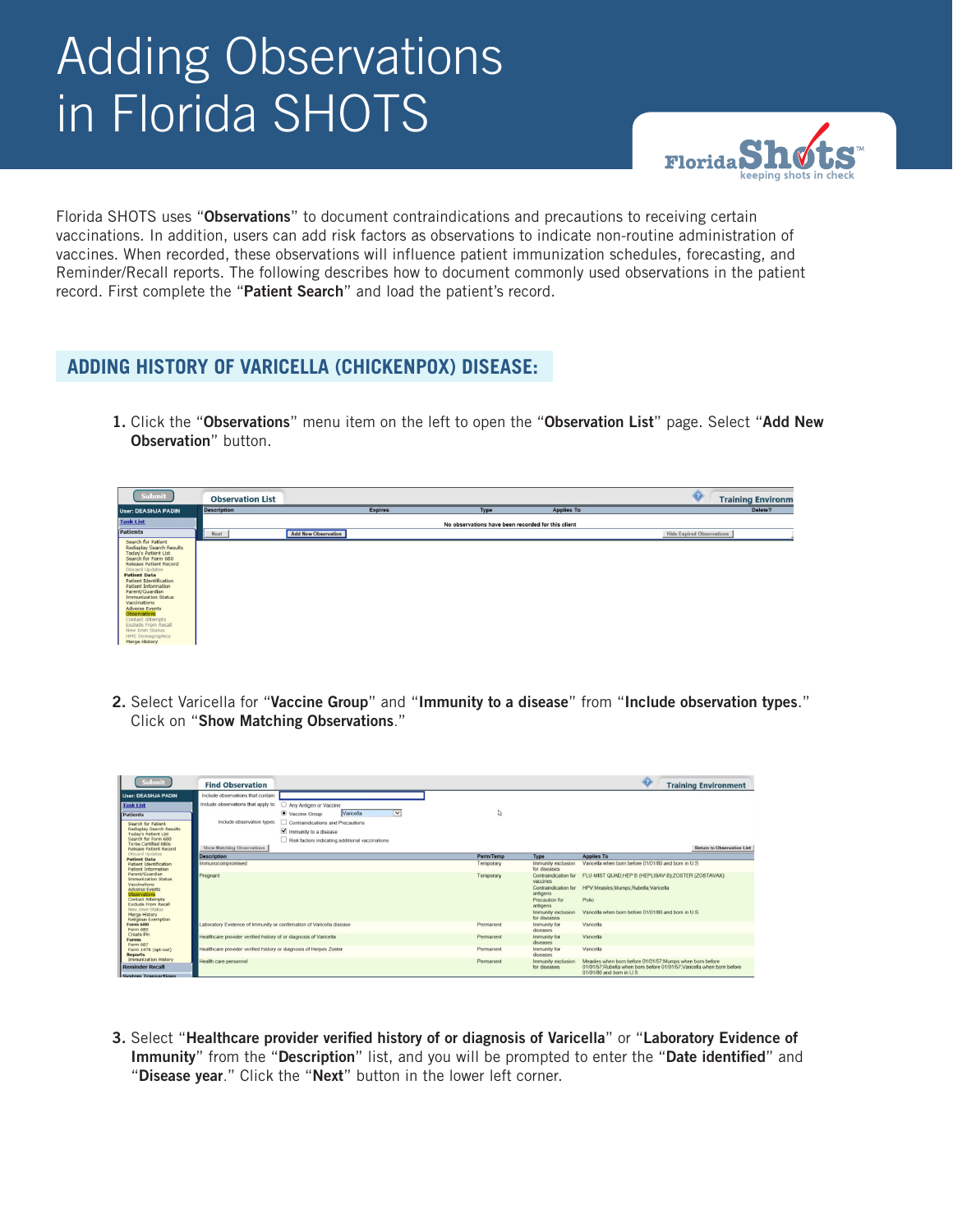# Adding Observations in Florida SHOTS



Florida SHOTS uses "Observations" to document contraindications and precautions to receiving certain vaccinations. In addition, users can add risk factors as observations to indicate non-routine administration of vaccines. When recorded, these observations will influence patient immunization schedules, forecasting, and Reminder/Recall reports. The following describes how to document commonly used observations in the patient record. First complete the "Patient Search" and load the patient's record.

## **ADDING HISTORY OF VARICELLA (CHICKENPOX) DISEASE:**

1. Click the "Observations" menu item on the left to open the "Observation List" page. Select "Add New Observation" button.

| Submit                                                                                                                                                                                                                                                                                                                                                                                                                                                                   | <b>Observation List</b> |                            |                                                    |                   | ♦<br><b>Training Environm</b>    |
|--------------------------------------------------------------------------------------------------------------------------------------------------------------------------------------------------------------------------------------------------------------------------------------------------------------------------------------------------------------------------------------------------------------------------------------------------------------------------|-------------------------|----------------------------|----------------------------------------------------|-------------------|----------------------------------|
| <b>User: DEASHJA PADIN</b>                                                                                                                                                                                                                                                                                                                                                                                                                                               | <b>Description</b>      | <b>Expires</b>             | Type                                               | <b>Applies To</b> | Delete?                          |
| <b>Task List</b>                                                                                                                                                                                                                                                                                                                                                                                                                                                         |                         |                            | No observations have been recorded for this client |                   |                                  |
| <b>Patients</b>                                                                                                                                                                                                                                                                                                                                                                                                                                                          | Next                    | <b>Add New Observation</b> |                                                    |                   | <b>Hide Expired Observations</b> |
| Search for Patient<br><b>Redisplay Search Results</b><br><b>Today's Patient List</b><br>Search for Form 680<br><b>Release Patient Record</b><br><b>Discard Updates</b><br><b>Patient Data</b><br><b>Patient Identification</b><br><b>Patient Information</b><br>Parent/Guardian<br><b>Immunization Status</b><br>Vaccinations<br><b>Adverse Events</b><br>Observations<br>Contact Attempts<br>Exclude From Recall<br>New Imm Status<br>HMS Demographics<br>Marga History |                         |                            |                                                    |                   |                                  |

2. Select Varicella for "Vaccine Group" and "Immunity to a disease" from "Include observation types." Click on "Show Matching Observations."

| <b>Submit</b>                                                 | <b>Find Observation</b>                                              |           |                                    | ♦<br><b>Training Environment</b>                                                                                                                                 |
|---------------------------------------------------------------|----------------------------------------------------------------------|-----------|------------------------------------|------------------------------------------------------------------------------------------------------------------------------------------------------------------|
| <b>User: DEASHJA PADIN</b>                                    | Include observations that contain:                                   |           |                                    |                                                                                                                                                                  |
| <b>Task List</b>                                              | Include observations that apply to:<br>Any Antigen or Vaccine        |           |                                    |                                                                                                                                                                  |
| <b>Patients</b>                                               | Varicella<br>$\vee$<br>Vaccine Group                                 | ↳         |                                    |                                                                                                                                                                  |
| Search for Patient<br>Redisplay Search Results                | Include observation types:<br>Contraindications and Precautions      |           |                                    |                                                                                                                                                                  |
| Today's Patient List                                          | Immunity to a disease                                                |           |                                    |                                                                                                                                                                  |
| Search for Form 680<br>To-be Certified 680s                   | Risk factors indicating additional vaccinations                      |           |                                    |                                                                                                                                                                  |
| Release Patient Record                                        | <b>Show Matching Observations</b>                                    |           |                                    | <b>Return to Observation List</b>                                                                                                                                |
| <b>Discard Updates</b><br><b>Patient Data</b>                 | <b>Description</b>                                                   | Perm/Temp | Type                               | <b>Applies To</b>                                                                                                                                                |
| <b>Patient Identification</b><br>Patient Information          | Immunocompromised                                                    | Temporary | Immunity exclusion<br>for diseases | Varicella when born before 01/01/80 and born in U.S.                                                                                                             |
| Parent/Guardian<br><b>Immunization Status</b><br>Varcinations | Pregnant                                                             | Temporary | Contraindication for<br>vaccines   | FLU-MIST QUAD:HEP B (HEPLISAV-B);ZOSTER (ZOSTAVAX)                                                                                                               |
| <b>Adverse Events</b><br>Observations                         |                                                                      |           | Contraindication for<br>antigens   | HPV;Measles;Mumps;Rubella;Varicella                                                                                                                              |
| <b>Contact Attempts</b><br><b>Exclude From Recall</b>         |                                                                      |           | Precaution for<br>antigens         | Polio                                                                                                                                                            |
| New Imm Status<br>Merge History<br>Religious Exemption        |                                                                      |           | Immunity exclusion<br>for diseases | Varicella when born before 01/01/80 and born in U.S.                                                                                                             |
| <b>Form 680</b><br>Form 680                                   | Laboratory Evidence of Immunity or confirmation of Varicella disease | Permanent | Immunity for<br>diseases           | Varicella                                                                                                                                                        |
| Create Pin<br><b>Forms</b><br>Form 687                        | Healthcare provider verified history of or diagnosis of Varicella    | Permanent | Immunity for<br>diseases           | Varicella                                                                                                                                                        |
| Form 1478 (opt-out)<br><b>Reports</b>                         | Healthcare provider verified history or diagnosis of Herpes Zoster   | Permanent | Immunity for<br>diseases           | Varicella                                                                                                                                                        |
| Immunization History<br><b>Reminder Recall</b>                | Health care personnel                                                | Permanent | Immunity exclusion<br>for diseases | Measles when born before 01/01/57:Mumps when born before<br>01/01/57: Rubella when born before 01/01/57: Varicella when born before<br>01/01/80 and born in U.S. |

3. Select "Healthcare provider verified history of or diagnosis of Varicella" or "Laboratory Evidence of Immunity" from the "Description" list, and you will be prompted to enter the "Date identified" and "Disease year." Click the "Next" button in the lower left corner.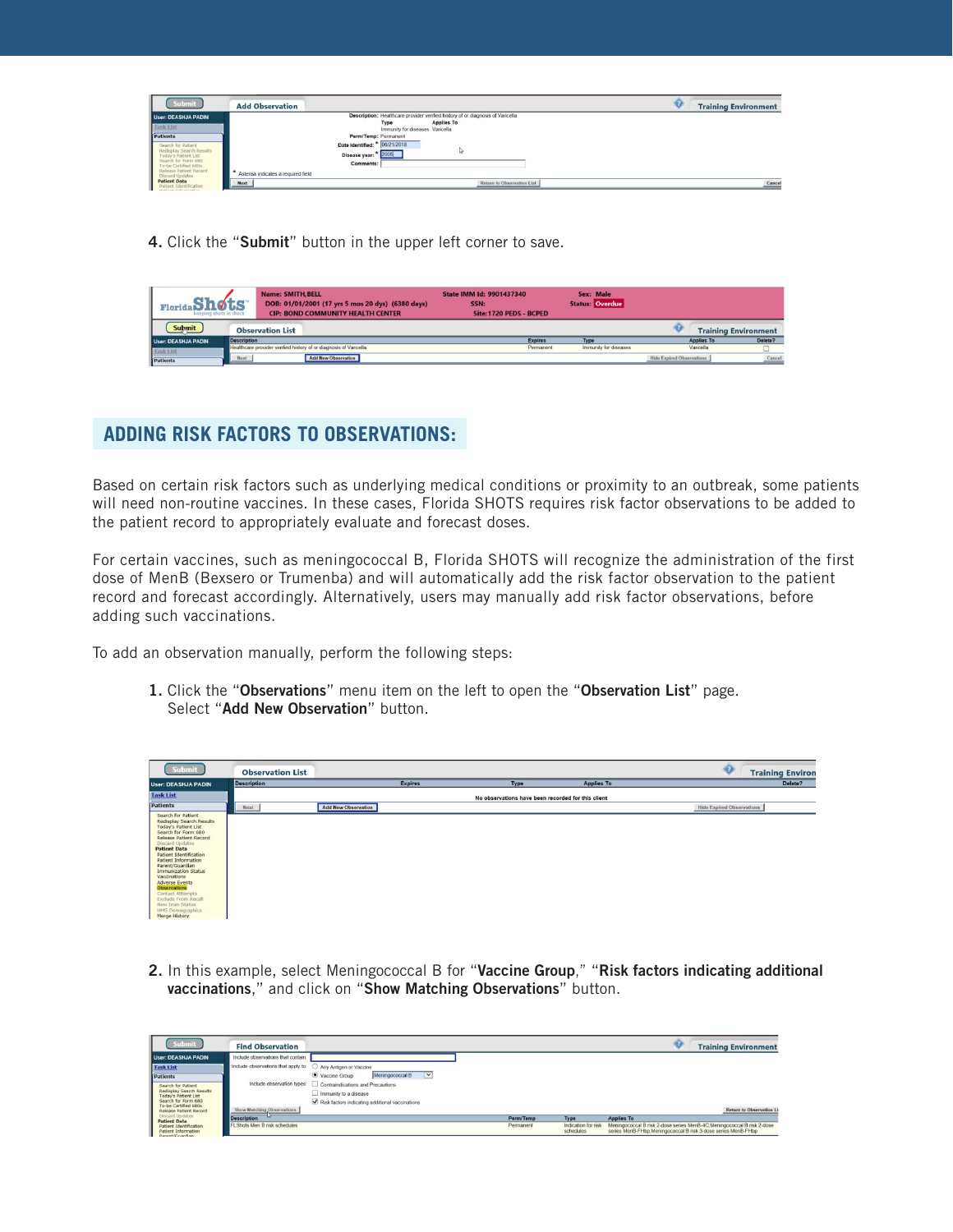| <b>Submit</b>                                                        | <b>Add Observation</b>                                                         | <b>Training Environment</b> |
|----------------------------------------------------------------------|--------------------------------------------------------------------------------|-----------------------------|
| <b>User: DEASHJA PADIN</b>                                           | Description: Healthcare provider verified history of or diagnosis of Varicella |                             |
| <b>Task List</b>                                                     | Applies To<br>Type                                                             |                             |
|                                                                      | Immunity for diseases Varicella                                                |                             |
| Patients                                                             | Perm/Temp: Permanent                                                           |                             |
| Search for Patient                                                   | Date Identified: * 06/21/2018                                                  |                             |
| Redisplay Search Results<br>Today's Patient List                     | Disease year: * 2005                                                           |                             |
| Search for Form 680<br>To-be Certified 680s                          | Comments:                                                                      |                             |
| I<br>telease Patient Record<br>Discard Undates                       | Asterisk indicates a required field                                            |                             |
| <b>Patient Data</b><br>Patient Identification<br>Bottomb Information | Next<br>Return to Observation List                                             | Cancel                      |

4. Click the "Submit" button in the upper left corner to save.

| <b>Name: SMITH, BELL</b><br>DOB: 01/01/2001 (17 yrs 5 mos 20 dys) (6380 days)<br>Florida<br><b>CIP: BOND COMMUNITY HEALTH CENTER</b><br>keeping shots in check |                         | State IMM Id: 9901437340<br>SSN:<br>Site: 1720 PEDS - BCPED | Sex: Male<br><b>Status: Overdue</b>                               |                |                       |                                  |                             |         |
|----------------------------------------------------------------------------------------------------------------------------------------------------------------|-------------------------|-------------------------------------------------------------|-------------------------------------------------------------------|----------------|-----------------------|----------------------------------|-----------------------------|---------|
| Submit                                                                                                                                                         | <b>Observation List</b> |                                                             |                                                                   |                |                       |                                  | <b>Training Environment</b> |         |
| User: DEASHJA PADIN                                                                                                                                            | <b>Description</b>      |                                                             |                                                                   | <b>Expires</b> | Type                  |                                  | <b>Applies To</b>           | Delete? |
| <b>Task List</b>                                                                                                                                               |                         |                                                             | Healthcare provider verified history of or diagnosis of Varicella | Permanent      | Immunity for diseases | Varicella                        |                             |         |
| Patients                                                                                                                                                       | Next                    |                                                             | <b>Add New Observation</b>                                        |                |                       | <b>Hide Expired Observations</b> |                             | Cancel  |

## **ADDING RISK FACTORS TO OBSERVATIONS:**

Based on certain risk factors such as underlying medical conditions or proximity to an outbreak, some patients will need non-routine vaccines. In these cases, Florida SHOTS requires risk factor observations to be added to the patient record to appropriately evaluate and forecast doses.

adding such vaccinations. For certain vaccines, such as meningococcal B, Florida SHOTS will recognize the administration of the first dose of MenB (Bexsero or Trumenba) and will automatically add the risk factor observation to the patient record and forecast accordingly. Alternatively, users may manually add risk factor observations, before

To add an observation manually, perform the following steps:

1. Click the "Observations" menu item on the left to open the "Observation List" page. Select "Add New Observation" button

| Submit                                                                                                                                                                                                                                                                                                                                                                                                                                              | <b>Observation List</b> |                            |                |                                                    |                   | $\bigcirc$                       | <b>Training Environ</b> |
|-----------------------------------------------------------------------------------------------------------------------------------------------------------------------------------------------------------------------------------------------------------------------------------------------------------------------------------------------------------------------------------------------------------------------------------------------------|-------------------------|----------------------------|----------------|----------------------------------------------------|-------------------|----------------------------------|-------------------------|
| <b>User: DEASHJA PADIN</b>                                                                                                                                                                                                                                                                                                                                                                                                                          | <b>Description</b>      |                            | <b>Expires</b> | Type                                               | <b>Applies To</b> |                                  | Delete?                 |
| <b>Task List</b>                                                                                                                                                                                                                                                                                                                                                                                                                                    |                         |                            |                | No observations have been recorded for this client |                   |                                  |                         |
| Patients                                                                                                                                                                                                                                                                                                                                                                                                                                            | Next<br>____            | <b>Add New Observation</b> |                |                                                    |                   | <b>Hide Expired Observations</b> |                         |
| Search for Patient<br>Redisplay Search Results<br>Today's Patient List<br>Search for Form 680<br>Release Patient Record<br>Discard Updates<br><b>Patient Data</b><br><b>Patient Identification</b><br><b>Patient Information</b><br>Parent/Guardian<br><b>Immunization Status</b><br>Vaccinations<br><b>Adverse Events</b><br>Observations<br>Contact Attempts<br>Exclude From Recall<br>New Imm Status<br><b>HMS Demographics</b><br>Merge History |                         |                            |                |                                                    |                   |                                  |                         |

2. In this example, select Meningococcal B for "Vaccine Group," "Risk factors indicating additional vaccinations," and click on "Show Matching Observations" button.

| Submit                                                                                               | <b>Find Observation</b>             |                                                              |           |                                  | <b>Training Environment</b>                                                                                                             |
|------------------------------------------------------------------------------------------------------|-------------------------------------|--------------------------------------------------------------|-----------|----------------------------------|-----------------------------------------------------------------------------------------------------------------------------------------|
| <b>User: DEASHJA PADIN</b>                                                                           | Include observations that contain:  |                                                              |           |                                  |                                                                                                                                         |
| <b>Task List</b>                                                                                     | Include observations that apply to: | Any Antigen or Vaccine                                       |           |                                  |                                                                                                                                         |
| Patients                                                                                             |                                     | Meningococcal B<br>Vaccine Group<br>$\checkmark$             |           |                                  |                                                                                                                                         |
| Search for Patient                                                                                   |                                     | Include observation types: Contraindications and Precautions |           |                                  |                                                                                                                                         |
| Redisplay Search Results<br>Today's Patient List                                                     |                                     | Immunity to a disease                                        |           |                                  |                                                                                                                                         |
| Search for Form 680<br>To-be Certified 680s                                                          |                                     | Risk factors indicating additional vaccinations              |           |                                  |                                                                                                                                         |
| Release Patient Record                                                                               | Show Matching Observations          |                                                              |           |                                  | <b>Return to Observation L</b>                                                                                                          |
| <b>Discard Updates</b><br><b>Patient Data</b>                                                        | <b>Description</b>                  |                                                              | Perm/Temp | Type                             | <b>Applies To</b>                                                                                                                       |
| Patient Identification<br><b>Patient Information</b><br>where the state of the state of the state of | <b>FLShots Men B risk schedules</b> |                                                              | Permanent | Indication for risk<br>schedules | Meningococcal B risk 2-dose series MenB-4C Meningococcal B risk 2-dose<br>series MenB-FHbp:Meningococcal B risk 3-dose series MenB-FHbp |